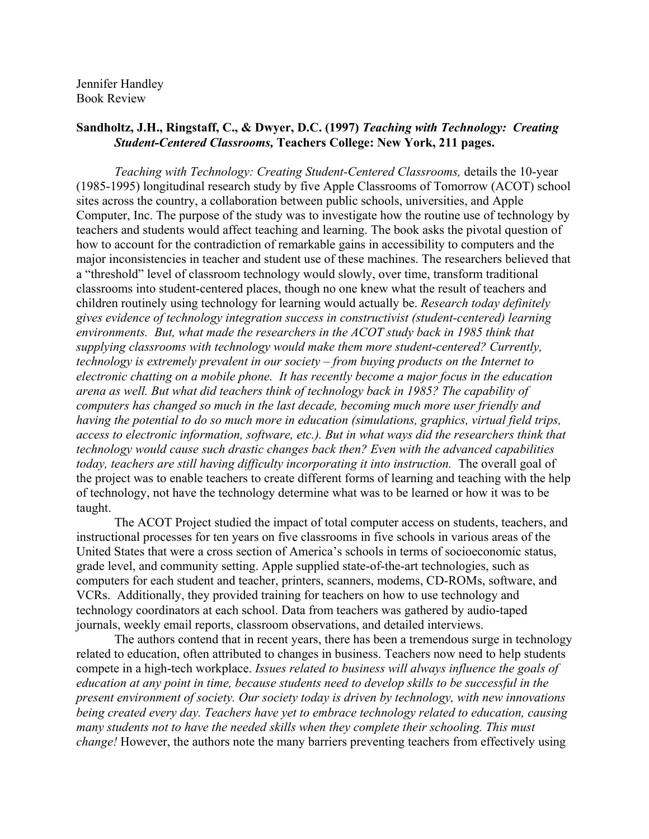Jennifer Handley Book Review

## **Sandholtz, J.H., Ringstaff, C., & Dwyer, D.C. (1997)** *Teaching with Technology: Creating Student-Centered Classrooms,* **Teachers College: New York, 211 pages.**

*Teaching with Technology: Creating Student-Centered Classrooms,* details the 10-year (1985-1995) longitudinal research study by five Apple Classrooms of Tomorrow (ACOT) school sites across the country, a collaboration between public schools, universities, and Apple Computer, Inc. The purpose of the study was to investigate how the routine use of technology by teachers and students would affect teaching and learning. The book asks the pivotal question of how to account for the contradiction of remarkable gains in accessibility to computers and the major inconsistencies in teacher and student use of these machines. The researchers believed that a "threshold" level of classroom technology would slowly, over time, transform traditional classrooms into student-centered places, though no one knew what the result of teachers and children routinely using technology for learning would actually be. *Research today definitely gives evidence of technology integration success in constructivist (student-centered) learning environments. But, what made the researchers in the ACOT study back in 1985 think that supplying classrooms with technology would make them more student-centered? Currently, technology is extremely prevalent in our society – from buying products on the Internet to electronic chatting on a mobile phone. It has recently become a major focus in the education arena as well. But what did teachers think of technology back in 1985? The capability of computers has changed so much in the last decade, becoming much more user friendly and having the potential to do so much more in education (simulations, graphics, virtual field trips, access to electronic information, software, etc.). But in what ways did the researchers think that technology would cause such drastic changes back then? Even with the advanced capabilities today, teachers are still having difficulty incorporating it into instruction.* The overall goal of the project was to enable teachers to create different forms of learning and teaching with the help of technology, not have the technology determine what was to be learned or how it was to be taught.

The ACOT Project studied the impact of total computer access on students, teachers, and instructional processes for ten years on five classrooms in five schools in various areas of the United States that were a cross section of America's schools in terms of socioeconomic status, grade level, and community setting. Apple supplied state-of-the-art technologies, such as computers for each student and teacher, printers, scanners, modems, CD-ROMs, software, and VCRs. Additionally, they provided training for teachers on how to use technology and technology coordinators at each school. Data from teachers was gathered by audio-taped journals, weekly email reports, classroom observations, and detailed interviews.

The authors contend that in recent years, there has been a tremendous surge in technology related to education, often attributed to changes in business. Teachers now need to help students compete in a high-tech workplace. *Issues related to business will always influence the goals of education at any point in time, because students need to develop skills to be successful in the present environment of society. Our society today is driven by technology, with new innovations being created every day. Teachers have yet to embrace technology related to education, causing many students not to have the needed skills when they complete their schooling. This must change!* However, the authors note the many barriers preventing teachers from effectively using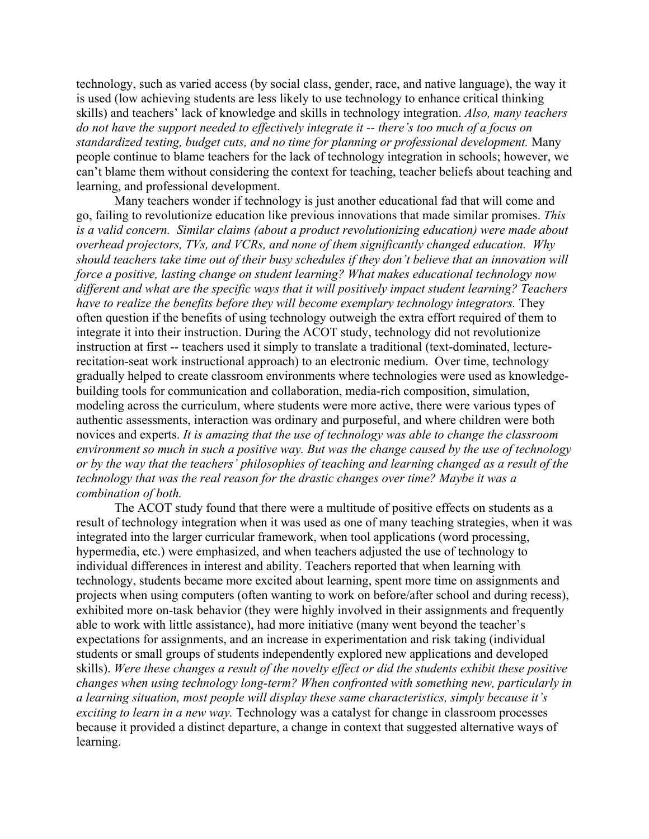technology, such as varied access (by social class, gender, race, and native language), the way it is used (low achieving students are less likely to use technology to enhance critical thinking skills) and teachers' lack of knowledge and skills in technology integration. *Also, many teachers do not have the support needed to effectively integrate it -- there's too much of a focus on standardized testing, budget cuts, and no time for planning or professional development.* Many people continue to blame teachers for the lack of technology integration in schools; however, we can't blame them without considering the context for teaching, teacher beliefs about teaching and learning, and professional development.

Many teachers wonder if technology is just another educational fad that will come and go, failing to revolutionize education like previous innovations that made similar promises. *This is a valid concern. Similar claims (about a product revolutionizing education) were made about overhead projectors, TVs, and VCRs, and none of them significantly changed education. Why should teachers take time out of their busy schedules if they don't believe that an innovation will force a positive, lasting change on student learning? What makes educational technology now different and what are the specific ways that it will positively impact student learning? Teachers have to realize the benefits before they will become exemplary technology integrators.* They often question if the benefits of using technology outweigh the extra effort required of them to integrate it into their instruction. During the ACOT study, technology did not revolutionize instruction at first -- teachers used it simply to translate a traditional (text-dominated, lecturerecitation-seat work instructional approach) to an electronic medium. Over time, technology gradually helped to create classroom environments where technologies were used as knowledgebuilding tools for communication and collaboration, media-rich composition, simulation, modeling across the curriculum, where students were more active, there were various types of authentic assessments, interaction was ordinary and purposeful, and where children were both novices and experts. *It is amazing that the use of technology was able to change the classroom environment so much in such a positive way. But was the change caused by the use of technology or by the way that the teachers' philosophies of teaching and learning changed as a result of the technology that was the real reason for the drastic changes over time? Maybe it was a combination of both.* 

The ACOT study found that there were a multitude of positive effects on students as a result of technology integration when it was used as one of many teaching strategies, when it was integrated into the larger curricular framework, when tool applications (word processing, hypermedia, etc.) were emphasized, and when teachers adjusted the use of technology to individual differences in interest and ability. Teachers reported that when learning with technology, students became more excited about learning, spent more time on assignments and projects when using computers (often wanting to work on before/after school and during recess), exhibited more on-task behavior (they were highly involved in their assignments and frequently able to work with little assistance), had more initiative (many went beyond the teacher's expectations for assignments, and an increase in experimentation and risk taking (individual students or small groups of students independently explored new applications and developed skills). *Were these changes a result of the novelty effect or did the students exhibit these positive changes when using technology long-term? When confronted with something new, particularly in a learning situation, most people will display these same characteristics, simply because it's exciting to learn in a new way.* Technology was a catalyst for change in classroom processes because it provided a distinct departure, a change in context that suggested alternative ways of learning.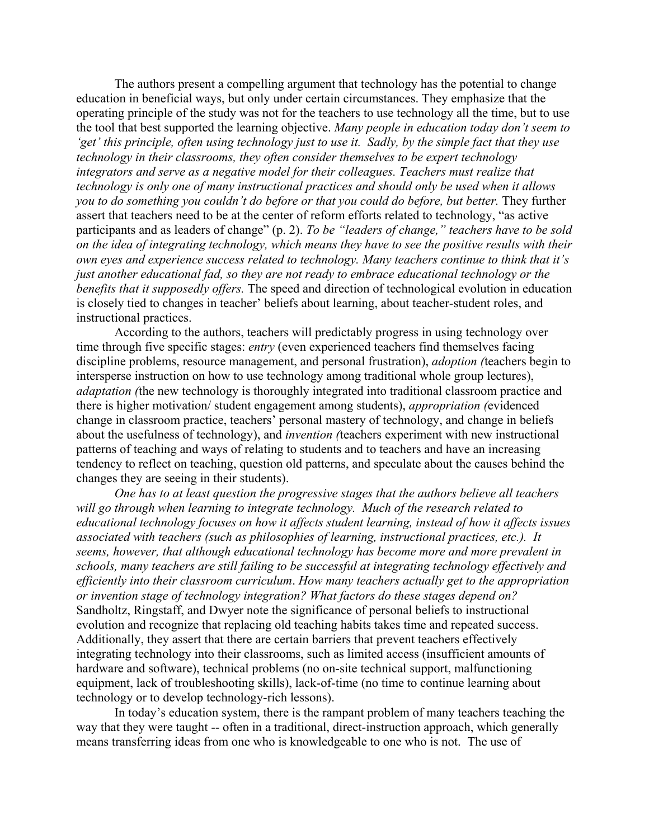The authors present a compelling argument that technology has the potential to change education in beneficial ways, but only under certain circumstances. They emphasize that the operating principle of the study was not for the teachers to use technology all the time, but to use the tool that best supported the learning objective. *Many people in education today don't seem to 'get' this principle, often using technology just to use it. Sadly, by the simple fact that they use technology in their classrooms, they often consider themselves to be expert technology integrators and serve as a negative model for their colleagues. Teachers must realize that technology is only one of many instructional practices and should only be used when it allows you to do something you couldn't do before or that you could do before, but better.* They further assert that teachers need to be at the center of reform efforts related to technology, "as active participants and as leaders of change" (p. 2). *To be "leaders of change," teachers have to be sold on the idea of integrating technology, which means they have to see the positive results with their own eyes and experience success related to technology. Many teachers continue to think that it's just another educational fad, so they are not ready to embrace educational technology or the benefits that it supposedly offers.* The speed and direction of technological evolution in education is closely tied to changes in teacher' beliefs about learning, about teacher-student roles, and instructional practices.

According to the authors, teachers will predictably progress in using technology over time through five specific stages: *entry* (even experienced teachers find themselves facing discipline problems, resource management, and personal frustration), *adoption (*teachers begin to intersperse instruction on how to use technology among traditional whole group lectures), *adaptation (*the new technology is thoroughly integrated into traditional classroom practice and there is higher motivation/ student engagement among students), *appropriation (*evidenced change in classroom practice, teachers' personal mastery of technology, and change in beliefs about the usefulness of technology), and *invention (*teachers experiment with new instructional patterns of teaching and ways of relating to students and to teachers and have an increasing tendency to reflect on teaching, question old patterns, and speculate about the causes behind the changes they are seeing in their students).

*One has to at least question the progressive stages that the authors believe all teachers will go through when learning to integrate technology. Much of the research related to educational technology focuses on how it affects student learning, instead of how it affects issues associated with teachers (such as philosophies of learning, instructional practices, etc.). It seems, however, that although educational technology has become more and more prevalent in schools, many teachers are still failing to be successful at integrating technology effectively and efficiently into their classroom curriculum*. *How many teachers actually get to the appropriation or invention stage of technology integration? What factors do these stages depend on?*  Sandholtz, Ringstaff, and Dwyer note the significance of personal beliefs to instructional evolution and recognize that replacing old teaching habits takes time and repeated success. Additionally, they assert that there are certain barriers that prevent teachers effectively integrating technology into their classrooms, such as limited access (insufficient amounts of hardware and software), technical problems (no on-site technical support, malfunctioning equipment, lack of troubleshooting skills), lack-of-time (no time to continue learning about technology or to develop technology-rich lessons).

In today's education system, there is the rampant problem of many teachers teaching the way that they were taught -- often in a traditional, direct-instruction approach, which generally means transferring ideas from one who is knowledgeable to one who is not. The use of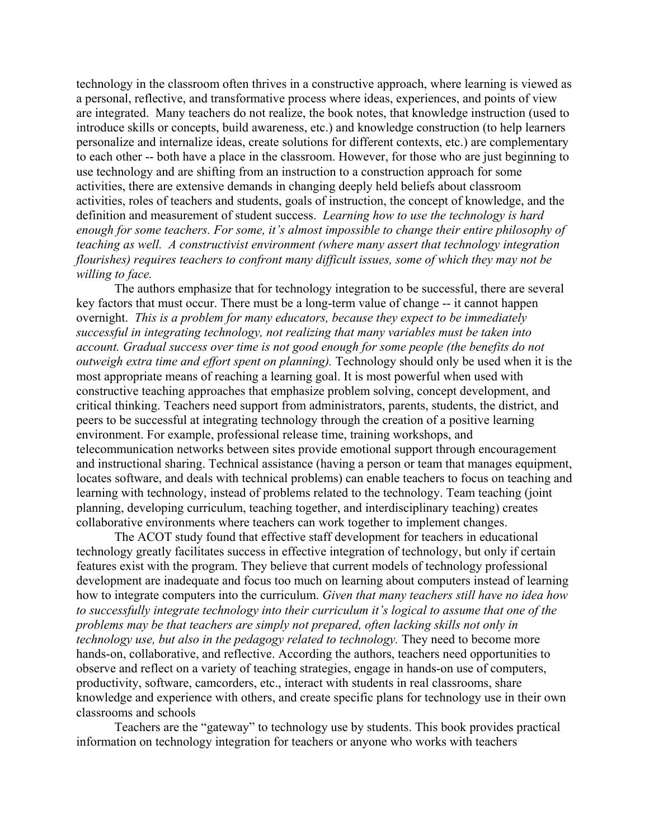technology in the classroom often thrives in a constructive approach, where learning is viewed as a personal, reflective, and transformative process where ideas, experiences, and points of view are integrated. Many teachers do not realize, the book notes, that knowledge instruction (used to introduce skills or concepts, build awareness, etc.) and knowledge construction (to help learners personalize and internalize ideas, create solutions for different contexts, etc.) are complementary to each other -- both have a place in the classroom. However, for those who are just beginning to use technology and are shifting from an instruction to a construction approach for some activities, there are extensive demands in changing deeply held beliefs about classroom activities, roles of teachers and students, goals of instruction, the concept of knowledge, and the definition and measurement of student success. *Learning how to use the technology is hard enough for some teachers. For some, it's almost impossible to change their entire philosophy of teaching as well. A constructivist environment (where many assert that technology integration flourishes) requires teachers to confront many difficult issues, some of which they may not be willing to face.*

 The authors emphasize that for technology integration to be successful, there are several key factors that must occur. There must be a long-term value of change -- it cannot happen overnight. *This is a problem for many educators, because they expect to be immediately successful in integrating technology, not realizing that many variables must be taken into account. Gradual success over time is not good enough for some people (the benefits do not outweigh extra time and effort spent on planning).* Technology should only be used when it is the most appropriate means of reaching a learning goal. It is most powerful when used with constructive teaching approaches that emphasize problem solving, concept development, and critical thinking. Teachers need support from administrators, parents, students, the district, and peers to be successful at integrating technology through the creation of a positive learning environment. For example, professional release time, training workshops, and telecommunication networks between sites provide emotional support through encouragement and instructional sharing. Technical assistance (having a person or team that manages equipment, locates software, and deals with technical problems) can enable teachers to focus on teaching and learning with technology, instead of problems related to the technology. Team teaching (joint planning, developing curriculum, teaching together, and interdisciplinary teaching) creates collaborative environments where teachers can work together to implement changes.

 The ACOT study found that effective staff development for teachers in educational technology greatly facilitates success in effective integration of technology, but only if certain features exist with the program. They believe that current models of technology professional development are inadequate and focus too much on learning about computers instead of learning how to integrate computers into the curriculum. *Given that many teachers still have no idea how to successfully integrate technology into their curriculum it's logical to assume that one of the problems may be that teachers are simply not prepared, often lacking skills not only in technology use, but also in the pedagogy related to technology.* They need to become more hands-on, collaborative, and reflective. According the authors, teachers need opportunities to observe and reflect on a variety of teaching strategies, engage in hands-on use of computers, productivity, software, camcorders, etc., interact with students in real classrooms, share knowledge and experience with others, and create specific plans for technology use in their own classrooms and schools

Teachers are the "gateway" to technology use by students. This book provides practical information on technology integration for teachers or anyone who works with teachers